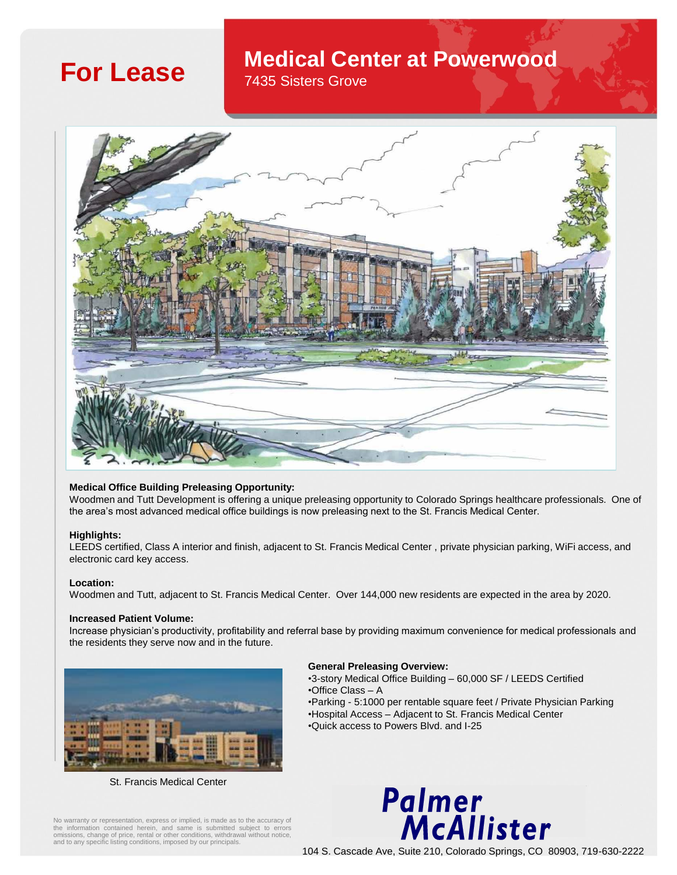# **For Lease Medical Center at Powerwood**

7435 Sisters Grove



# **Medical Office Building Preleasing Opportunity:**

Woodmen and Tutt Development is offering a unique preleasing opportunity to Colorado Springs healthcare professionals. One of the area's most advanced medical office buildings is now preleasing next to the St. Francis Medical Center.

# **Highlights:**

LEEDS certified, Class A interior and finish, adjacent to St. Francis Medical Center , private physician parking, WiFi access, and electronic card key access.

# **Location:**

Woodmen and Tutt, adjacent to St. Francis Medical Center. Over 144,000 new residents are expected in the area by 2020.

## **Increased Patient Volume:**

Increase physician's productivity, profitability and referral base by providing maximum convenience for medical professionals and the residents they serve now and in the future.



St. Francis Medical Center

# **General Preleasing Overview:**

•3-story Medical Office Building – 60,000 SF / LEEDS Certified •Office Class – A •Parking - 5:1000 per rentable square feet / Private Physician Parking •Hospital Access – Adjacent to St. Francis Medical Center •Quick access to Powers Blvd. and I-25



No warranty or representation, express or implied, is made as to the accuracy of the information contained herein, and same is submitted subject to errors omissions, change of price, rental or other conditions, withdrawal without notice, and to any specific listing conditions, imposed by our principals.